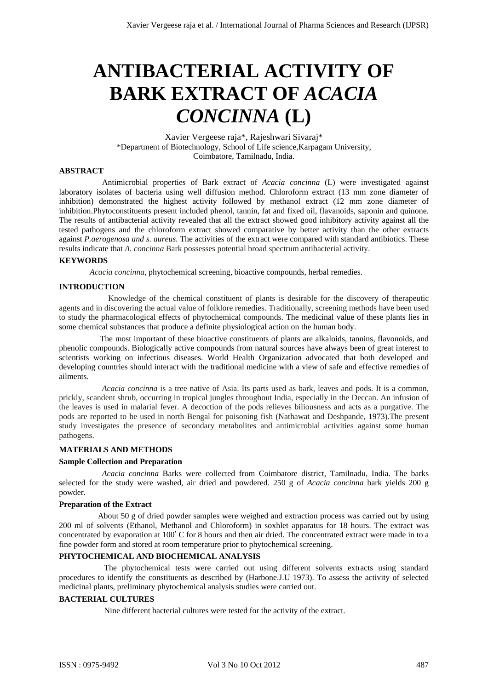# **ANTIBACTERIAL ACTIVITY OF BARK EXTRACT OF** *ACACIA CONCINNA* **(L)**

Xavier Vergeese raja\*, Rajeshwari Sivaraj\* \*Department of Biotechnology, School of Life science,Karpagam University, Coimbatore, Tamilnadu, India.

# **ABSTRACT**

 Antimicrobial properties of Bark extract of *Acacia concinna* (L) were investigated against laboratory isolates of bacteria using well diffusion method. Chloroform extract (13 mm zone diameter of inhibition) demonstrated the highest activity followed by methanol extract (12 mm zone diameter of inhibition.Phytoconstituents present included phenol, tannin, fat and fixed oil, flavanoids, saponin and quinone. The results of antibacterial activity revealed that all the extract showed good inhibitory activity against all the tested pathogens and the chloroform extract showed comparative by better activity than the other extracts against *P.aerogenosa and s. aureus*. The activities of the extract were compared with standard antibiotics. These results indicate that *A. concinna* Bark possesses potential broad spectrum antibacterial activity.

## **KEYWORDS**

 *Acacia concinna,* phytochemical screening, bioactive compounds, herbal remedies.

## **INTRODUCTION**

Knowledge of the chemical constituent of plants is desirable for the discovery of therapeutic agents and in discovering the actual value of folklore remedies. Traditionally, screening methods have been used to study the pharmacological effects of phytochemical compounds. The medicinal value of these plants lies in some chemical substances that produce a definite physiological action on the human body.

The most important of these bioactive constituents of plants are alkaloids, tannins, flavonoids, and phenolic compounds. Biologically active compounds from natural sources have always been of great interest to scientists working on infectious diseases. World Health Organization advocated that both developed and developing countries should interact with the traditional medicine with a view of safe and effective remedies of ailments.

 *Acacia concinna* is a tree native of Asia. Its parts used as bark, leaves and pods. It is a common, prickly, scandent shrub, occurring in tropical jungles throughout India, especially in the Deccan. An infusion of the leaves is used in malarial fever. A decoction of the pods relieves biliousness and acts as a purgative. The pods are reported to be used in north Bengal for poisoning fish (Nathawat and Deshpande, 1973).The present study investigates the presence of secondary metabolites and antimicrobial activities against some human pathogens.

#### **MATERIALS AND METHODS**

#### **Sample Collection and Preparation**

 *Acacia concinna* Barks were collected from Coimbatore district, Tamilnadu, India. The barks selected for the study were washed, air dried and powdered. 250 g of *Acacia concinna* bark yields 200 g powder.

#### **Preparation of the Extract**

 About 50 g of dried powder samples were weighed and extraction process was carried out by using 200 ml of solvents (Ethanol, Methanol and Chloroform) in soxhlet apparatus for 18 hours. The extract was concentrated by evaporation at 100°C for 8 hours and then air dried. The concentrated extract were made in to a fine powder form and stored at room temperature prior to phytochemical screening.

## **PHYTOCHEMICAL AND BIOCHEMICAL ANALYSIS**

 The phytochemical tests were carried out using different solvents extracts using standard procedures to identify the constituents as described by (Harbone.J.U 1973). To assess the activity of selected medicinal plants, preliminary phytochemical analysis studies were carried out.

## **BACTERIAL CULTURES**

Nine different bacterial cultures were tested for the activity of the extract.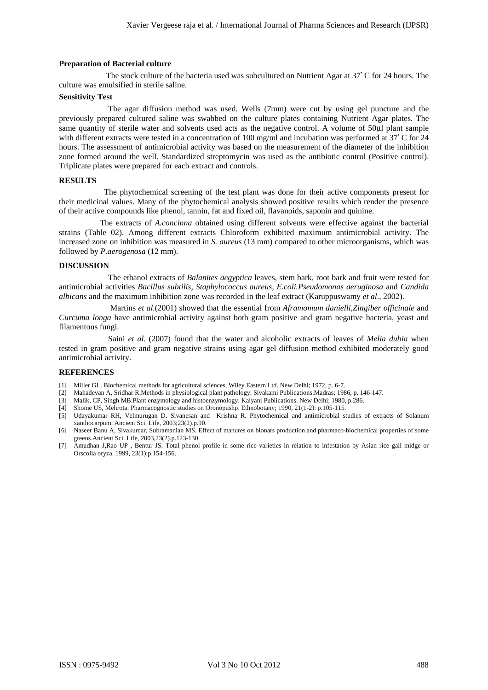#### **Preparation of Bacterial culture**

The stock culture of the bacteria used was subcultured on Nutrient Agar at 37<sup>°</sup>C for 24 hours. The culture was emulsified in sterile saline.

## **Sensitivity Test**

 The agar diffusion method was used. Wells (7mm) were cut by using gel puncture and the previously prepared cultured saline was swabbed on the culture plates containing Nutrient Agar plates. The same quantity of sterile water and solvents used acts as the negative control. A volume of 50μl plant sample with different extracts were tested in a concentration of 100 mg/ml and incubation was performed at 37°C for 24 hours. The assessment of antimicrobial activity was based on the measurement of the diameter of the inhibition zone formed around the well. Standardized streptomycin was used as the antibiotic control (Positive control). Triplicate plates were prepared for each extract and controls.

## **RESULTS**

 The phytochemical screening of the test plant was done for their active components present for their medicinal values. Many of the phytochemical analysis showed positive results which render the presence of their active compounds like phenol, tannin, fat and fixed oil, flavanoids, saponin and quinine.

 The extracts of *A.concinna* obtained using different solvents were effective against the bacterial strains (Table 02). Among different extracts Chloroform exhibited maximum antimicrobial activity. The increased zone on inhibition was measured in *S. aureus* (13 mm) compared to other microorganisms, which was followed by *P.aerogenosa* (12 mm).

## **DISCUSSION**

 The ethanol extracts of *Balanites aegyptica* leaves, stem bark, root bark and fruit were tested for antimicrobial activities *Bacillus subtilis, Staphylococcus aureus, E.coli.Pseudomonas aeruginosa* and *Candida albicans* and the maximum inhibition zone was recorded in the leaf extract (Karuppuswamy *et al*., 2002).

 Martins *et al*.(2001) showed that the essential from *Aframomum danielli,Zingiber officinale* and *Curcuma longa* have antimicrobial activity against both gram positive and gram negative bacteria, yeast and filamentous fungi.

 Saini *et al*. (2007) found that the water and alcoholic extracts of leaves of *Melia dubia* when tested in gram positive and gram negative strains using agar gel diffusion method exhibited moderately good antimicrobial activity.

## **REFERENCES**

- [1] Miller GL. Biochemical methods for agricultural sciences, Wiley Eastern Ltd. New Delhi; 1972, p. 6-7.
- [2] Mahadevan A, Sridhar R.Methods in physiological plant pathology. Sivakami Publications.Madras; 1986, p. 146-147.
- [3] Malik, CP, Singh MB.Plant enzymology and histoenzymology. Kalyani Publications. New Delhi; 1980, p.286.
- [4] Shome US, Mehrota. Pharmacognostic studies on Oronopushp. Ethnobotany; 1990, 21(1-2): p.105-115.
- [5] Udayakumar RH, Velmurugan D. Sivanesan and Krishna R. Phytochemical and antimicrobial studies of extracts of Solanum xanthocarpum. Ancient Sci. Life, 2003;23(2).p.90.
- [6] Naseer Banu A, Sivakumar, Subramanian MS. Effect of manures on bionars production and pharmaco-biochemical properties of some greens.Ancient Sci. Life, 2003,23(2).p.123-130.
- [7] Amudhan J,Rao UP , Bentur JS. Total phenol profile in some rice varieties in relation to infestation by Asian rice gall midge or Orscolia oryza. 1999, 23(1):p.154-156.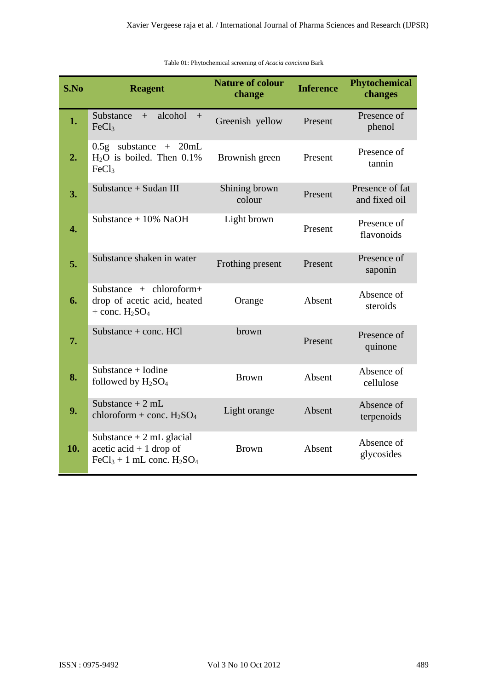| S.No | <b>Reagent</b>                                                                        | <b>Nature of colour</b><br>change | <b>Inference</b> | <b>Phytochemical</b><br>changes  |
|------|---------------------------------------------------------------------------------------|-----------------------------------|------------------|----------------------------------|
| 1.   | alcohol<br>Substance<br>$+$<br>$+$<br>FeCl <sub>3</sub>                               | Greenish yellow                   | Present          | Presence of<br>phenol            |
| 2.   | $0.5g$ substance + 20mL<br>$H2O$ is boiled. Then 0.1%<br>FeCl <sub>3</sub>            | Brownish green                    | Present          | Presence of<br>tannin            |
| 3.   | Substance + Sudan III                                                                 | Shining brown<br>colour           | Present          | Presence of fat<br>and fixed oil |
| 4.   | Substance $+10\%$ NaOH                                                                | Light brown                       | Present          | Presence of<br>flavonoids        |
| 5.   | Substance shaken in water                                                             | Frothing present                  | Present          | Presence of<br>saponin           |
| 6.   | Substance + chloroform+<br>drop of acetic acid, heated<br>$+$ conc. $H2SO4$           | Orange                            | Absent           | Absence of<br>steroids           |
| 7.   | Substance $+$ conc. HCl                                                               | brown                             | Present          | Presence of<br>quinone           |
| 8.   | Substance $+$ Iodine<br>followed by $H_2SO_4$                                         | <b>Brown</b>                      | Absent           | Absence of<br>cellulose          |
| 9.   | Substance $+2$ mL<br>chloroform + conc. $H_2SO_4$                                     | Light orange                      | Absent           | Absence of<br>terpenoids         |
| 10.  | Substance $+2$ mL glacial<br>acetic acid $+1$ drop of<br>$FeCl3 + 1$ mL conc. $H2SO4$ | <b>Brown</b>                      | Absent           | Absence of<br>glycosides         |

Table 01: Phytochemical screening of *Acacia concinna* Bark